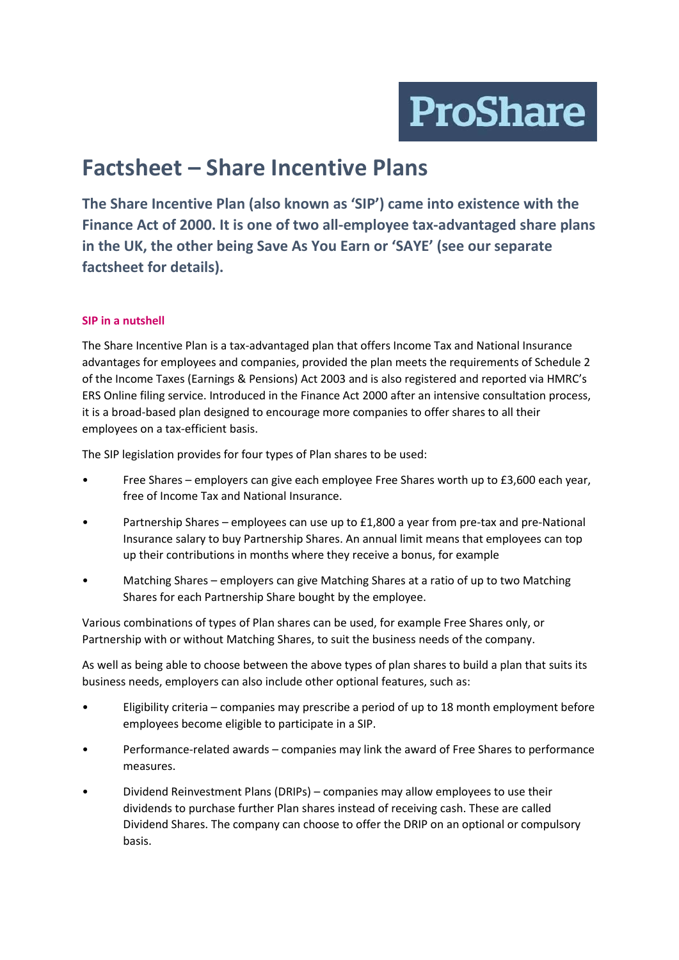**ProShare** 

# **Factsheet – Share Incentive Plans**

**The Share Incentive Plan (also known as 'SIP') came into existence with the Finance Act of 2000. It is one of two all-employee tax-advantaged share plans in the UK, the other being Save As You Earn or 'SAYE' (see our separate factsheet for details).** 

## **SIP in a nutshell**

The Share Incentive Plan is a tax-advantaged plan that offers Income Tax and National Insurance advantages for employees and companies, provided the plan meets the requirements of Schedule 2 of the Income Taxes (Earnings & Pensions) Act 2003 and is also registered and reported via HMRC's ERS Online filing service. Introduced in the Finance Act 2000 after an intensive consultation process, it is a broad-based plan designed to encourage more companies to offer shares to all their employees on a tax-efficient basis.

The SIP legislation provides for four types of Plan shares to be used:

- Free Shares employers can give each employee Free Shares worth up to £3,600 each year, free of Income Tax and National Insurance.
- Partnership Shares employees can use up to £1,800 a year from pre-tax and pre-National Insurance salary to buy Partnership Shares. An annual limit means that employees can top up their contributions in months where they receive a bonus, for example
- Matching Shares employers can give Matching Shares at a ratio of up to two Matching Shares for each Partnership Share bought by the employee.

Various combinations of types of Plan shares can be used, for example Free Shares only, or Partnership with or without Matching Shares, to suit the business needs of the company.

As well as being able to choose between the above types of plan shares to build a plan that suits its business needs, employers can also include other optional features, such as:

- Eligibility criteria companies may prescribe a period of up to 18 month employment before employees become eligible to participate in a SIP.
- Performance-related awards companies may link the award of Free Shares to performance measures.
- Dividend Reinvestment Plans (DRIPs) companies may allow employees to use their dividends to purchase further Plan shares instead of receiving cash. These are called Dividend Shares. The company can choose to offer the DRIP on an optional or compulsory basis.